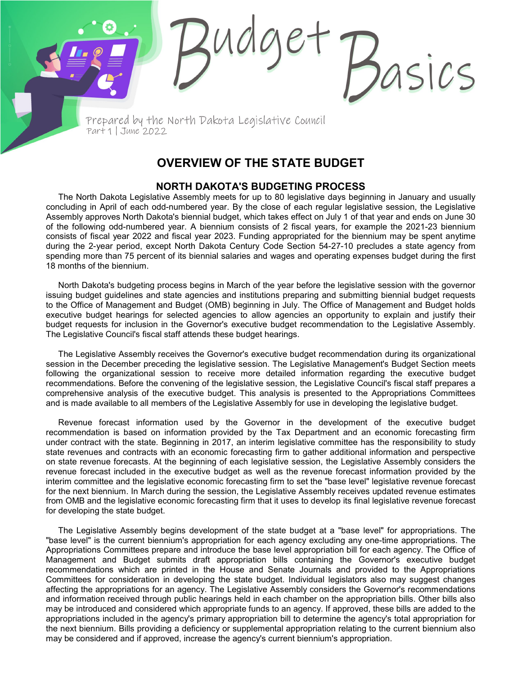Prepared by the North Dakota Legislative Council Part 1 | June 2022

## **OVERVIEW OF THE STATE BUDGET**

sics

## **NORTH DAKOTA'S BUDGETING PROCESS**

The North Dakota Legislative Assembly meets for up to 80 legislative days beginning in January and usually concluding in April of each odd-numbered year. By the close of each regular legislative session, the Legislative Assembly approves North Dakota's biennial budget, which takes effect on July 1 of that year and ends on June 30 of the following odd-numbered year. A biennium consists of 2 fiscal years, for example the 2021-23 biennium consists of fiscal year 2022 and fiscal year 2023. Funding appropriated for the biennium may be spent anytime during the 2-year period, except North Dakota Century Code Section 54-27-10 precludes a state agency from spending more than 75 percent of its biennial salaries and wages and operating expenses budget during the first 18 months of the biennium.

North Dakota's budgeting process begins in March of the year before the legislative session with the governor issuing budget guidelines and state agencies and institutions preparing and submitting biennial budget requests to the Office of Management and Budget (OMB) beginning in July. The Office of Management and Budget holds executive budget hearings for selected agencies to allow agencies an opportunity to explain and justify their budget requests for inclusion in the Governor's executive budget recommendation to the Legislative Assembly. The Legislative Council's fiscal staff attends these budget hearings.

The Legislative Assembly receives the Governor's executive budget recommendation during its organizational session in the December preceding the legislative session. The Legislative Management's Budget Section meets following the organizational session to receive more detailed information regarding the executive budget recommendations. Before the convening of the legislative session, the Legislative Council's fiscal staff prepares a comprehensive analysis of the executive budget. This analysis is presented to the Appropriations Committees and is made available to all members of the Legislative Assembly for use in developing the legislative budget.

Revenue forecast information used by the Governor in the development of the executive budget recommendation is based on information provided by the Tax Department and an economic forecasting firm under contract with the state. Beginning in 2017, an interim legislative committee has the responsibility to study state revenues and contracts with an economic forecasting firm to gather additional information and perspective on state revenue forecasts. At the beginning of each legislative session, the Legislative Assembly considers the revenue forecast included in the executive budget as well as the revenue forecast information provided by the interim committee and the legislative economic forecasting firm to set the "base level" legislative revenue forecast for the next biennium. In March during the session, the Legislative Assembly receives updated revenue estimates from OMB and the legislative economic forecasting firm that it uses to develop its final legislative revenue forecast for developing the state budget.

The Legislative Assembly begins development of the state budget at a "base level" for appropriations. The "base level" is the current biennium's appropriation for each agency excluding any one-time appropriations. The Appropriations Committees prepare and introduce the base level appropriation bill for each agency. The Office of Management and Budget submits draft appropriation bills containing the Governor's executive budget recommendations which are printed in the House and Senate Journals and provided to the Appropriations Committees for consideration in developing the state budget. Individual legislators also may suggest changes affecting the appropriations for an agency. The Legislative Assembly considers the Governor's recommendations and information received through public hearings held in each chamber on the appropriation bills. Other bills also may be introduced and considered which appropriate funds to an agency. If approved, these bills are added to the appropriations included in the agency's primary appropriation bill to determine the agency's total appropriation for the next biennium. Bills providing a deficiency or supplemental appropriation relating to the current biennium also may be considered and if approved, increase the agency's current biennium's appropriation.